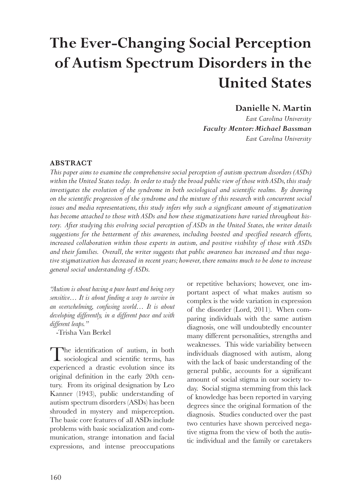# **The Ever-Changing Social Perception of Autism Spectrum Disorders in the United States**

## **Danielle N. Martin**

 *East Carolina University Faculty Mentor: Michael Bassman East Carolina University*

#### **ABSTRACT**

*This paper aims to examine the comprehensive social perception of autism spectrum disorders (ASDs) within the United States today. In order to study the broad public view of those with ASDs, this study*  investigates the evolution of the syndrome in both sociological and scientific realms. By drawing *on the scientific progression of the syndrome and the mixture of this research with concurrent social*  issues and media representations, this study infers why such a significant amount of stigmatization *has become attached to those with ASDs and how these stigmatizations have varied throughout history. After studying this evolving social perception of ASDs in the United States, the writer details suggestions for the betterment of this awareness, including boosted and specified research efforts, increased collaboration within those experts in autism, and positive visibility of those with ASDs and their families. Overall, the writer suggests that public awareness has increased and thus negative stigmatization has decreased in recent years; however, there remains much to be done to increase general social understanding of ASDs.*

*"Autism is about having a pure heart and being very sensitive… It is about finding a way to survive in an overwhelming, confusing world… It is about developing differently, in a different pace and with different leaps."*

-Trisha Van Berkel

The identification of autism, in both sociological and scientific terms, has experienced a drastic evolution since its original definition in the early 20th century. From its original designation by Leo Kanner (1943), public understanding of autism spectrum disorders (ASDs) has been shrouded in mystery and misperception. The basic core features of all ASDs include problems with basic socialization and communication, strange intonation and facial expressions, and intense preoccupations

or repetitive behaviors; however, one important aspect of what makes autism so complex is the wide variation in expression of the disorder (Lord, 2011). When comparing individuals with the same autism diagnosis, one will undoubtedly encounter many different personalities, strengths and weaknesses. This wide variability between individuals diagnosed with autism, along with the lack of basic understanding of the general public, accounts for a significant amount of social stigma in our society today. Social stigma stemming from this lack of knowledge has been reported in varying degrees since the original formation of the diagnosis. Studies conducted over the past two centuries have shown perceived negative stigma from the view of both the autistic individual and the family or caretakers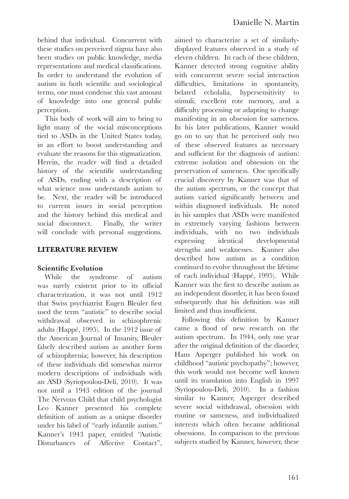behind that individual. Concurrent with these studies on perceived stigma have also been studies on public knowledge, media representations and medical classifications. In order to understand the evolution of autism in both scientific and sociological terms, one must condense this vast amount of knowledge into one general public perception.

This body of work will aim to bring to light many of the social misconceptions tied to ASDs in the United States today, in an effort to boost understanding and evaluate the reasons for this stigmatization. Herein, the reader will find a detailed history of the scientific understanding of ASDs, ending with a description of what science now understands autism to be. Next, the reader will be introduced to current issues in social perception and the history behind this medical and social disconnect. Finally, the writer will conclude with personal suggestions.

### **LITERATURE REVIEW**

#### **Scientific Evolution**

While the syndrome of autism was surely existent prior to its official characterization, it was not until 1912 that Swiss psychiatrist Eugen Bleuler first used the term "autistic" to describe social withdrawal observed in schizophrenic adults (Happé, 1995). In the 1912 issue of the American Journal of Insanity, Bleuler falsely described autism as another form of schizophrenia; however, his description of these individuals did somewhat mirror modern descriptions of individuals with an ASD (Syriopoulou-Deli, 2010). It was not until a 1943 edition of the journal The Nervous Child that child psychologist Leo Kanner presented his complete definition of autism as a unique disorder under his label of "early infantile autism." Kanner's 1943 paper, entitled "Autistic Disturbances of Affective Contact",

aimed to characterize a set of similarlydisplayed features observed in a study of eleven children. In each of these children, Kanner detected strong cognitive ability with concurrent severe social interaction difficulties, limitations in spontaneity, belated echolalia, hypersensitivity to stimuli, excellent rote memory, and a difficulty processing or adapting to change manifesting in an obsession for sameness. In his later publications, Kanner would go on to say that he perceived only two of these observed features as necessary and sufficient for the diagnosis of autism: extreme isolation and obsession on the preservation of sameness. One specifically crucial discovery by Kanner was that of the autism spectrum, or the concept that autism varied significantly between and within diagnosed individuals. He noted in his samples that ASDs were manifested in extremely varying fashions between individuals, with no two individuals expressing identical developmental strengths and weaknesses. Kanner also described how autism as a condition continued to evolve throughout the lifetime of each individual (Happé, 1995). While Kanner was the first to describe autism as an independent disorder, it has been found subsequently that his definition was still limited and thus insufficient.

Following this definition by Kanner came a flood of new research on the autism spectrum. In 1944, only one year after the original definition of the disorder, Hans Asperger published his work on childhood "autistic psychopathy"; however, this work would not become well known until its translation into English in 1997 (Syriopoulou-Deli, 2010). In a fashion similar to Kanner, Asperger described severe social withdrawal, obsession with routine or sameness, and individualized interests which often became additional obsessions. In comparison to the previous subjects studied by Kanner, however, these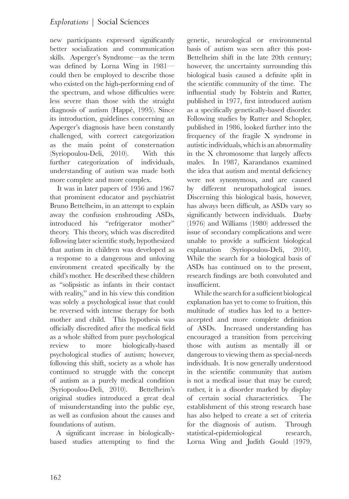new participants expressed significantly better socialization and communication skills. Asperger's Syndrome—as the term was defined by Lorna Wing in 1981 could then be employed to describe those who existed on the high-performing end of the spectrum, and whose difficulties were less severe than those with the straight diagnosis of autism (Happé, 1995). Since its introduction, guidelines concerning an Asperger's diagnosis have been constantly challenged, with correct categorization as the main point of consternation (Syriopoulou-Deli, 2010). With this further categorization of individuals, understanding of autism was made both more complete and more complex.

It was in later papers of 1956 and 1967 that prominent educator and psychiatrist Bruno Bettelheim, in an attempt to explain away the confusion enshrouding ASDs, introduced his "refrigerator mother" theory. This theory, which was discredited following later scientific study, hypothesized that autism in children was developed as a response to a dangerous and unloving environment created specifically by the child's mother. He described these children as "solipsistic as infants in their contact with reality," and in his view this condition was solely a psychological issue that could be reversed with intense therapy for both mother and child. This hypothesis was officially discredited after the medical field as a whole shifted from pure psychological review to more biologically-based psychological studies of autism; however, following this shift, society as a whole has continued to struggle with the concept of autism as a purely medical condition (Syriopoulou-Deli, 2010). Bettelheim's original studies introduced a great deal of misunderstanding into the public eye, as well as confusion about the causes and foundations of autism.

A significant increase in biologicallybased studies attempting to find the

genetic, neurological or environmental basis of autism was seen after this post-Bettelheim shift in the late 20th century; however, the uncertainty surrounding this biological basis caused a definite split in the scientific community of the time. The influential study by Folstein and Rutter, published in 1977, first introduced autism as a specifically genetically-based disorder. Following studies by Rutter and Schopler, published in 1986, looked further into the frequency of the fragile X syndrome in autistic individuals, which is an abnormality in the X chromosome that largely affects males. In 1987, Karandanos examined the idea that autism and mental deficiency were not synonymous, and are caused by different neuropathological issues. Discerning this biological basis, however, has always been difficult, as ASDs vary so significantly between individuals. Darby (1976) and Williams (1980) addressed the issue of secondary complications and were unable to provide a sufficient biological explanation (Syriopoulou-Deli, 2010). While the search for a biological basis of ASDs has continued on to the present, research findings are both convoluted and insufficient.

 While the search for a sufficient biological explanation has yet to come to fruition, this multitude of studies has led to a betteraccepted and more complete definition of ASDs. Increased understanding has encouraged a transition from perceiving those with autism as mentally ill or dangerous to viewing them as special-needs individuals. It is now generally understood in the scientific community that autism is not a medical issue that may be cured; rather, it is a disorder marked by display of certain social characteristics. The establishment of this strong research base has also helped to create a set of criteria for the diagnosis of autism. Through statistical-epidemiological research, Lorna Wing and Judith Gould (1979,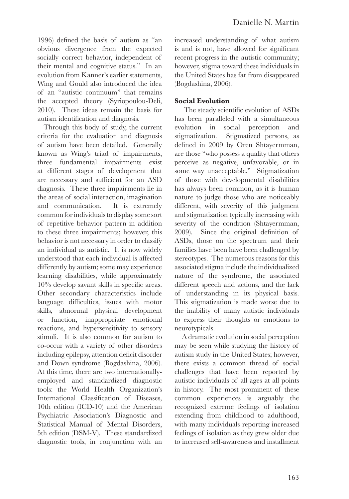1996) defined the basis of autism as "an obvious divergence from the expected socially correct behavior, independent of their mental and cognitive status." In an evolution from Kanner's earlier statements, Wing and Gould also introduced the idea of an "autistic continuum" that remains the accepted theory (Syriopoulou-Deli, 2010). These ideas remain the basis for autism identification and diagnosis.

Through this body of study, the current criteria for the evaluation and diagnosis of autism have been detailed. Generally known as Wing's triad of impairments, three fundamental impairments exist at different stages of development that are necessary and sufficient for an ASD diagnosis. These three impairments lie in the areas of social interaction, imagination and communication. It is extremely common for individuals to display some sort of repetitive behavior pattern in addition to these three impairments; however, this behavior is not necessary in order to classify an individual as autistic. It is now widely understood that each individual is affected differently by autism; some may experience learning disabilities, while approximately 10% develop savant skills in specific areas. Other secondary characteristics include language difficulties, issues with motor skills, abnormal physical development or function, inappropriate emotional reactions, and hypersensitivity to sensory stimuli. It is also common for autism to co-occur with a variety of other disorders including epilepsy, attention deficit disorder and Down syndrome (Bogdashina, 2006). At this time, there are two internationallyemployed and standardized diagnostic tools: the World Health Organization's International Classification of Diseases, 10th edition (ICD-10) and the American Psychiatric Association's Diagnostic and Statistical Manual of Mental Disorders, 5th edition (DSM-V). These standardized diagnostic tools, in conjunction with an

increased understanding of what autism is and is not, have allowed for significant recent progress in the autistic community; however, stigma toward these individuals in the United States has far from disappeared (Bogdashina, 2006).

#### **Social Evolution**

 The steady scientific evolution of ASDs has been paralleled with a simultaneous evolution in social perception and stigmatization. Stigmatized persons, as defined in 2009 by Oren Shtayermman, are those "who possess a quality that others perceive as negative, unfavorable, or in some way unacceptable." Stigmatization of those with developmental disabilities has always been common, as it is human nature to judge those who are noticeably different, with severity of this judgment and stigmatization typically increasing with severity of the condition (Shtayermman, 2009). Since the original definition of ASDs, those on the spectrum and their families have been have been challenged by stereotypes. The numerous reasons for this associated stigma include the individualized nature of the syndrome, the associated different speech and actions, and the lack of understanding in its physical basis. This stigmatization is made worse due to the inability of many autistic individuals to express their thoughts or emotions to neurotypicals.

 A dramatic evolution in social perception may be seen while studying the history of autism study in the United States; however, there exists a common thread of social challenges that have been reported by autistic individuals of all ages at all points in history. The most prominent of these common experiences is arguably the recognized extreme feelings of isolation extending from childhood to adulthood, with many individuals reporting increased feelings of isolation as they grew older due to increased self-awareness and installment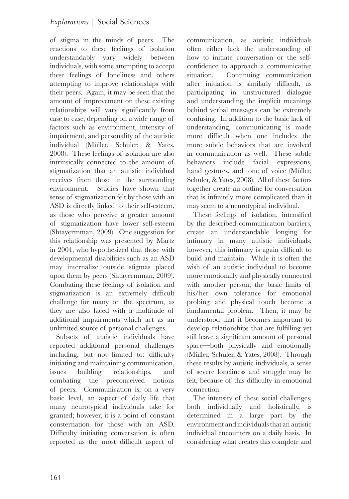of stigma in the minds of peers. The reactions to these feelings of isolation understandably vary widely between individuals, with some attempting to accept these feelings of loneliness and others attempting to improve relationships with their peers. Again, it may be seen that the amount of improvement on these existing relationships will vary significantly from case to case, depending on a wide range of factors such as environment, intensity of impairment, and personality of the autistic individual (Müller, Schuler, & Yates, 2008). These feelings of isolation are also intrinsically connected to the amount of stigmatization that an autistic individual receives from those in the surrounding environment. Studies have shown that sense of stigmatization felt by those with an ASD is directly linked to their self-esteem, as those who perceive a greater amount of stigmatization have lower self-esteem (Shtayermman, 2009). One suggestion for this relationship was presented by Martz in 2004, who hypothesized that those with developmental disabilities such as an ASD may internalize outside stigmas placed upon them by peers (Shtayermman, 2009). Combating these feelings of isolation and stigmatization is an extremely difficult challenge for many on the spectrum, as they are also faced with a multitude of additional impairments which act as an unlimited source of personal challenges.

Subsets of autistic individuals have reported additional personal challenges including, but not limited to: difficulty initiating and maintaining communication, issues building relationships, and combating the preconceived notions of peers. Communication is, on a very basic level, an aspect of daily life that many neurotypical individuals take for granted; however, it is a point of constant consternation for those with an ASD. Difficulty initiating conversation is often reported as the most difficult aspect of

communication, as autistic individuals often either lack the understanding of how to initiate conversation or the selfconfidence to approach a communicative situation. Continuing communication after initiation is similarly difficult, as participating in unstructured dialogue and understanding the implicit meanings behind verbal messages can be extremely confusing. In addition to the basic lack of understanding, communicating is made more difficult when one includes the more subtle behaviors that are involved in communication as well. These subtle behaviors include facial expressions, hand gestures, and tone of voice (Müller, Schuler, & Yates, 2008). All of these factors together create an outline for conversation that is infinitely more complicated than it may seem to a neurotypical individual.

These feelings of isolation, intensified by the described communication barriers, create an understandable longing for intimacy in many autistic individuals; however, this intimacy is again difficult to build and maintain. While it is often the wish of an autistic individual to become more emotionally and physically connected with another person, the basic limits of his/her own tolerance for emotional probing and physical touch become a fundamental problem. Then, it may be understood that it becomes important to develop relationships that are fulfilling yet still leave a significant amount of personal space—both physically and emotionally (Müller, Schuler, & Yates, 2008). Through these results by autistic individuals, a sense of severe loneliness and struggle may be felt, because of this difficulty in emotional connection.

The intensity of these social challenges, both individually and holistically, is determined in a large part by the environment and individuals that an autistic individual encounters on a daily basis. In considering what creates this complete and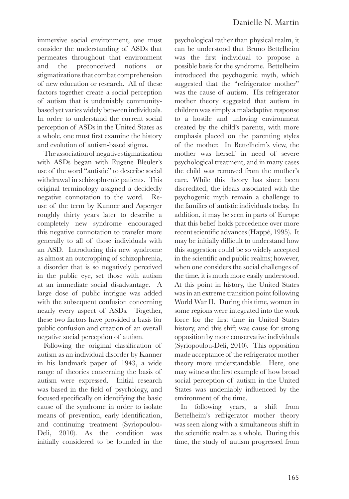immersive social environment, one must consider the understanding of ASDs that permeates throughout that environment and the preconceived notions or stigmatizations that combat comprehension of new education or research. All of these factors together create a social perception of autism that is undeniably communitybased yet varies widely between individuals. In order to understand the current social perception of ASDs in the United States as a whole, one must first examine the history and evolution of autism-based stigma.

The association of negative stigmatization with ASDs began with Eugene Bleuler's use of the word "autistic" to describe social withdrawal in schizophrenic patients. This original terminology assigned a decidedly negative connotation to the word. Reuse of the term by Kanner and Asperger roughly thirty years later to describe a completely new syndrome encouraged this negative connotation to transfer more generally to all of those individuals with an ASD. Introducing this new syndrome as almost an outcropping of schizophrenia, a disorder that is so negatively perceived in the public eye, set those with autism at an immediate social disadvantage. A large dose of public intrigue was added with the subsequent confusion concerning nearly every aspect of ASDs. Together, these two factors have provided a basis for public confusion and creation of an overall negative social perception of autism.

Following the original classification of autism as an individual disorder by Kanner in his landmark paper of 1943, a wide range of theories concerning the basis of autism were expressed. Initial research was based in the field of psychology, and focused specifically on identifying the basic cause of the syndrome in order to isolate means of prevention, early identification, and continuing treatment (Syriopoulou-Deli, 2010). As the condition was initially considered to be founded in the psychological rather than physical realm, it can be understood that Bruno Bettelheim was the first individual to propose a possible basis for the syndrome. Bettelheim introduced the psychogenic myth, which suggested that the "refrigerator mother" was the cause of autism. His refrigerator mother theory suggested that autism in children was simply a maladaptive response to a hostile and unloving environment created by the child's parents, with more emphasis placed on the parenting styles of the mother. In Bettelheim's view, the mother was herself in need of severe psychological treatment, and in many cases the child was removed from the mother's care. While this theory has since been discredited, the ideals associated with the psychogenic myth remain a challenge to the families of autistic individuals today. In addition, it may be seen in parts of Europe that this belief holds precedence over more recent scientific advances (Happé, 1995). It may be initially difficult to understand how this suggestion could be so widely accepted in the scientific and public realms; however, when one considers the social challenges of the time, it is much more easily understood. At this point in history, the United States was in an extreme transition point following World War II. During this time, women in some regions were integrated into the work force for the first time in United States history, and this shift was cause for strong opposition by more conservative individuals (Syriopoulou-Deli, 2010). This opposition made acceptance of the refrigerator mother theory more understandable. Here, one may witness the first example of how broad social perception of autism in the United States was undeniably influenced by the environment of the time.

In following years, a shift from Bettelheim's refrigerator mother theory was seen along with a simultaneous shift in the scientific realm as a whole. During this time, the study of autism progressed from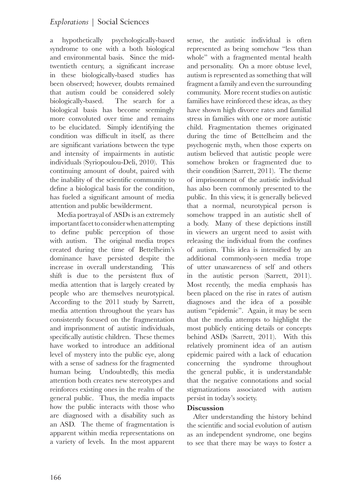a hypothetically psychologically-based syndrome to one with a both biological and environmental basis. Since the midtwentieth century, a significant increase in these biologically-based studies has been observed; however, doubts remained that autism could be considered solely biologically-based. The search for a biological basis has become seemingly more convoluted over time and remains to be elucidated. Simply identifying the condition was difficult in itself, as there are significant variations between the type and intensity of impairments in autistic individuals (Syriopoulou-Deli, 2010). This continuing amount of doubt, paired with the inability of the scientific community to define a biological basis for the condition, has fueled a significant amount of media attention and public bewilderment.

Media portrayal of ASDs is an extremely important facet to consider when attempting to define public perception of those with autism. The original media tropes created during the time of Bettelheim's dominance have persisted despite the increase in overall understanding. This shift is due to the persistent flux of media attention that is largely created by people who are themselves neurotypical. According to the 2011 study by Sarrett, media attention throughout the years has consistently focused on the fragmentation and imprisonment of autistic individuals, specifically autistic children. These themes have worked to introduce an additional level of mystery into the public eye, along with a sense of sadness for the fragmented human being. Undoubtedly, this media attention both creates new stereotypes and reinforces existing ones in the realm of the general public. Thus, the media impacts how the public interacts with those who are diagnosed with a disability such as an ASD. The theme of fragmentation is apparent within media representations on a variety of levels. In the most apparent sense, the autistic individual is often represented as being somehow "less than whole" with a fragmented mental health and personality. On a more obtuse level, autism is represented as something that will fragment a family and even the surrounding community. More recent studies on autistic families have reinforced these ideas, as they have shown high divorce rates and familial stress in families with one or more autistic child. Fragmentation themes originated during the time of Bettelheim and the psychogenic myth, when those experts on autism believed that autistic people were somehow broken or fragmented due to their condition (Sarrett, 2011). The theme of imprisonment of the autistic individual has also been commonly presented to the public. In this view, it is generally believed that a normal, neurotypical person is somehow trapped in an autistic shell of a body. Many of these depictions instill in viewers an urgent need to assist with releasing the individual from the confines of autism. This idea is intensified by an additional commonly-seen media trope of utter unawareness of self and others in the autistic person (Sarrett, 2011). Most recently, the media emphasis has been placed on the rise in rates of autism diagnoses and the idea of a possible autism "epidemic". Again, it may be seen that the media attempts to highlight the most publicly enticing details or concepts behind ASDs (Sarrett, 2011). With this relatively prominent idea of an autism epidemic paired with a lack of education concerning the syndrome throughout the general public, it is understandable that the negative connotations and social stigmatizations associated with autism persist in today's society.

#### **Discussion**

After understanding the history behind the scientific and social evolution of autism as an independent syndrome, one begins to see that there may be ways to foster a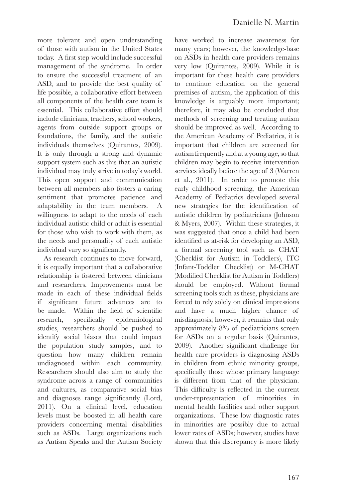more tolerant and open understanding of those with autism in the United States today. A first step would include successful management of the syndrome. In order to ensure the successful treatment of an ASD, and to provide the best quality of life possible, a collaborative effort between all components of the health care team is essential. This collaborative effort should include clinicians, teachers, school workers, agents from outside support groups or foundations, the family, and the autistic individuals themselves (Quirantes, 2009). It is only through a strong and dynamic support system such as this that an autistic individual may truly strive in today's world. This open support and communication between all members also fosters a caring sentiment that promotes patience and adaptability in the team members. A willingness to adapt to the needs of each individual autistic child or adult is essential for those who wish to work with them, as the needs and personality of each autistic individual vary so significantly.

As research continues to move forward, it is equally important that a collaborative relationship is fostered between clinicians and researchers. Improvements must be made in each of these individual fields if significant future advances are to be made. Within the field of scientific research, specifically epidemiological studies, researchers should be pushed to identify social biases that could impact the population study samples, and to question how many children remain undiagnosed within each community. Researchers should also aim to study the syndrome across a range of communities and cultures, as comparative social bias and diagnoses range significantly (Lord, 2011). On a clinical level, education levels must be boosted in all health care providers concerning mental disabilities such as ASDs. Large organizations such as Autism Speaks and the Autism Society have worked to increase awareness for many years; however, the knowledge-base on ASDs in health care providers remains very low (Quirantes, 2009). While it is important for these health care providers to continue education on the general premises of autism, the application of this knowledge is arguably more important; therefore, it may also be concluded that methods of screening and treating autism should be improved as well. According to the American Academy of Pediatrics, it is important that children are screened for autism frequently and at a young age, so that children may begin to receive intervention services ideally before the age of 3 (Warren et al., 2011). In order to promote this early childhood screening, the American Academy of Pediatrics developed several new strategies for the identification of autistic children by pediatricians (Johnson & Myers, 2007). Within these strategies, it was suggested that once a child had been identified as at-risk for developing an ASD, a formal screening tool such as CHAT (Checklist for Autism in Toddlers), ITC (Infant-Toddler Checklist) or M-CHAT (Modified Checklist for Autism in Toddlers) should be employed. Without formal screening tools such as these, physicians are forced to rely solely on clinical impressions and have a much higher chance of misdiagnosis; however, it remains that only approximately 8% of pediatricians screen for ASDs on a regular basis (Quirantes, 2009). Another significant challenge for health care providers is diagnosing ASDs in children from ethnic minority groups, specifically those whose primary language is different from that of the physician. This difficulty is reflected in the current under-representation of minorities in mental health facilities and other support organizations. These low diagnostic rates in minorities are possibly due to actual lower rates of ASDs; however, studies have shown that this discrepancy is more likely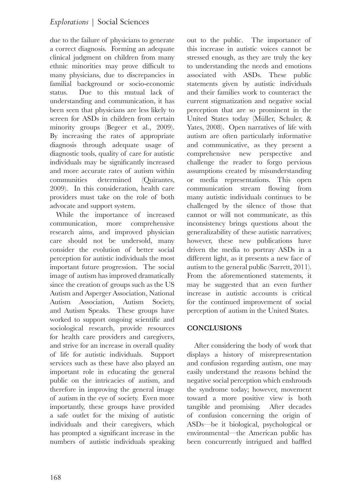due to the failure of physicians to generate a correct diagnosis. Forming an adequate clinical judgment on children from many ethnic minorities may prove difficult to many physicians, due to discrepancies in familial background or socio-economic status. Due to this mutual lack of understanding and communication, it has been seen that physicians are less likely to screen for ASDs in children from certain minority groups (Begeer et al., 2009). By increasing the rates of appropriate diagnosis through adequate usage of diagnostic tools, quality of care for autistic individuals may be significantly increased and more accurate rates of autism within communities determined (Quirantes, 2009). In this consideration, health care providers must take on the role of both advocate and support system.

While the importance of increased communication, more comprehensive research aims, and improved physician care should not be undersold, many consider the evolution of better social perception for autistic individuals the most important future progression. The social image of autism has improved dramatically since the creation of groups such as the US Autism and Asperger Association, National Autism Association, Autism Society, and Autism Speaks. These groups have worked to support ongoing scientific and sociological research, provide resources for health care providers and caregivers, and strive for an increase in overall quality of life for autistic individuals. Support services such as these have also played an important role in educating the general public on the intricacies of autism, and therefore in improving the general image of autism in the eye of society. Even more importantly, these groups have provided a safe outlet for the mixing of autistic individuals and their caregivers, which has prompted a significant increase in the numbers of autistic individuals speaking out to the public. The importance of this increase in autistic voices cannot be stressed enough, as they are truly the key to understanding the needs and emotions associated with ASDs. These public statements given by autistic individuals and their families work to counteract the current stigmatization and negative social perception that are so prominent in the United States today (Müller, Schuler, & Yates, 2008). Open narratives of life with autism are often particularly informative and communicative, as they present a comprehensive new perspective and challenge the reader to forgo pervious assumptions created by misunderstanding or media representations. This open communication stream flowing from many autistic individuals continues to be challenged by the silence of those that cannot or will not communicate, as this inconsistency brings questions about the generalizability of these autistic narratives; however, these new publications have driven the media to portray ASDs in a different light, as it presents a new face of autism to the general public (Sarrett, 2011). From the aforementioned statements, it may be suggested that an even further increase in autistic accounts is critical for the continued improvement of social perception of autism in the United States.

# **CONCLUSIONS**

After considering the body of work that displays a history of misrepresentation and confusion regarding autism, one may easily understand the reasons behind the negative social perception which enshrouds the syndrome today; however, movement toward a more positive view is both tangible and promising. After decades of confusion concerning the origin of ASDs—be it biological, psychological or environmental—the American public has been concurrently intrigued and baffled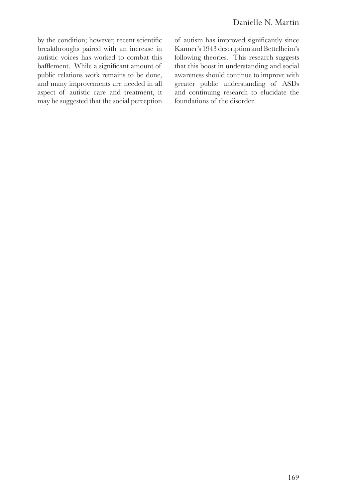by the condition; however, recent scientific breakthroughs paired with an increase in autistic voices has worked to combat this bafflement. While a significant amount of public relations work remains to be done, and many improvements are needed in all aspect of autistic care and treatment, it may be suggested that the social perception

of autism has improved significantly since Kanner's 1943 description and Bettelheim's following theories. This research suggests that this boost in understanding and social awareness should continue to improve with greater public understanding of ASDs and continuing research to elucidate the foundations of the disorder.